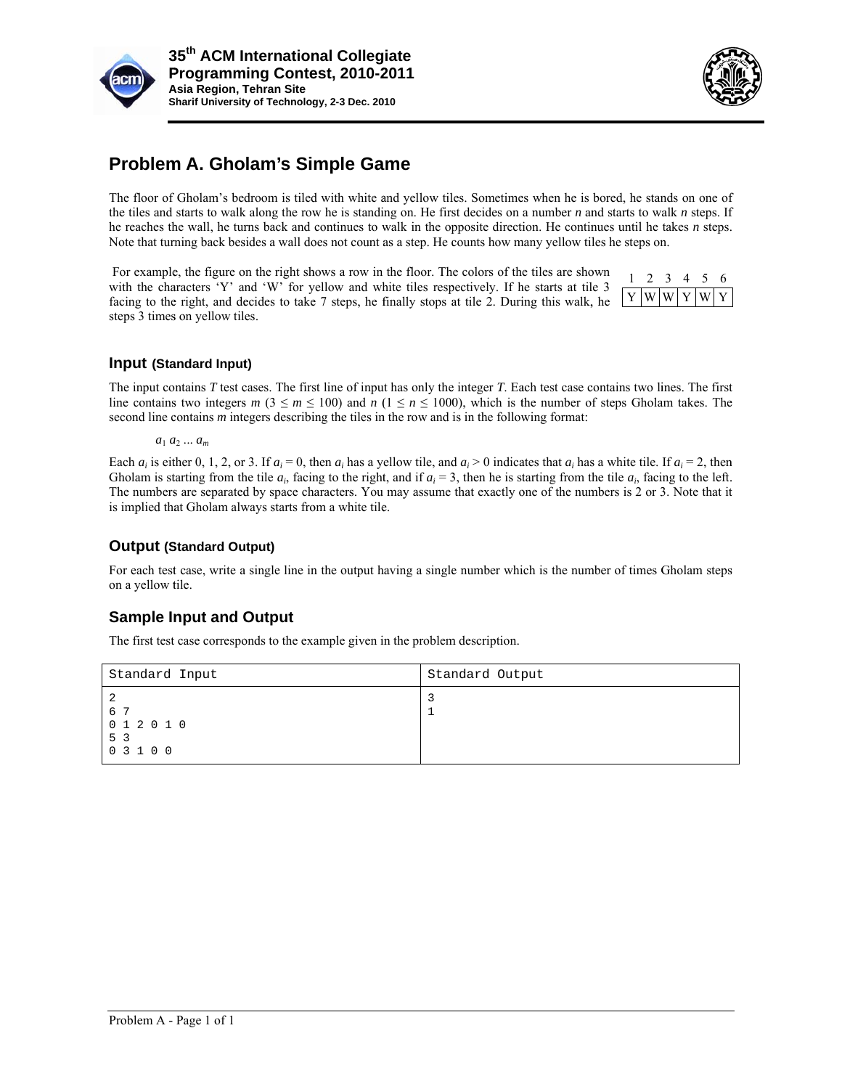



# **Problem A. Gholam's Simple Game**

The floor of Gholam's bedroom is tiled with white and yellow tiles. Sometimes when he is bored, he stands on one of the tiles and starts to walk along the row he is standing on. He first decides on a number  $n$  and starts to walk  $n$  steps. If he reaches the wall, he turns back and continues to walk in the opposite direction. He continues until he takes  $n$  steps. Note that turning back besides a wall does not count as a step. He counts how many yellow tiles he steps on.

For example, the figure on the right shows a row in the floor. The colors of the tiles are shown with the characters 'Y' and 'W' for yellow and white tiles respectively. If he starts at tile  $3$ facing to the right, and decides to take 7 steps, he finally stops at tile 2. During this walk, he steps 3 times on yellow tiles.



### Input (Standard Input)

The input contains *T* test cases. The first line of input has only the integer *T*. Each test case contains two lines. The first line contains two integers  $m$  ( $3 \le m \le 100$ ) and  $n$  ( $1 \le n \le 1000$ ), which is the number of steps Gholam takes. The second line contains *m* integers describing the tiles in the row and is in the following format:

*a*<sup>1</sup> *a* 2 ... *am*

Each  $a_i$  is either 0, 1, 2, or 3. If  $a_i = 0$ , then  $a_i$  has a yellow tile, and  $a_i > 0$  indicates that  $a_i$  has a white tile. If  $a_i = 2$ , then Gholam is starting from the tile  $a_i$ , facing to the right, and if  $a_i = 3$ , then he is starting from the tile  $a_i$ , facing to the left. The numbers are separated by space characters. You may assume that exactly one of the numbers is 2 or 3. Note that it is implied that Gholam always starts from a white tile. ff.ten.ts

### **Output (Standard Output)**

For each test case, write a single line in the output having a single number which is the number of times Gholam steps on a yellow t tile.

### **Sample Input and Output**

The first test case corresponds to the example given in the problem description.

| Standard Input                               | Standard Output |  |  |  |  |  |
|----------------------------------------------|-----------------|--|--|--|--|--|
| -2<br>6 7<br>0 1 2 0 1 0<br>5 3<br>0 3 1 0 0 |                 |  |  |  |  |  |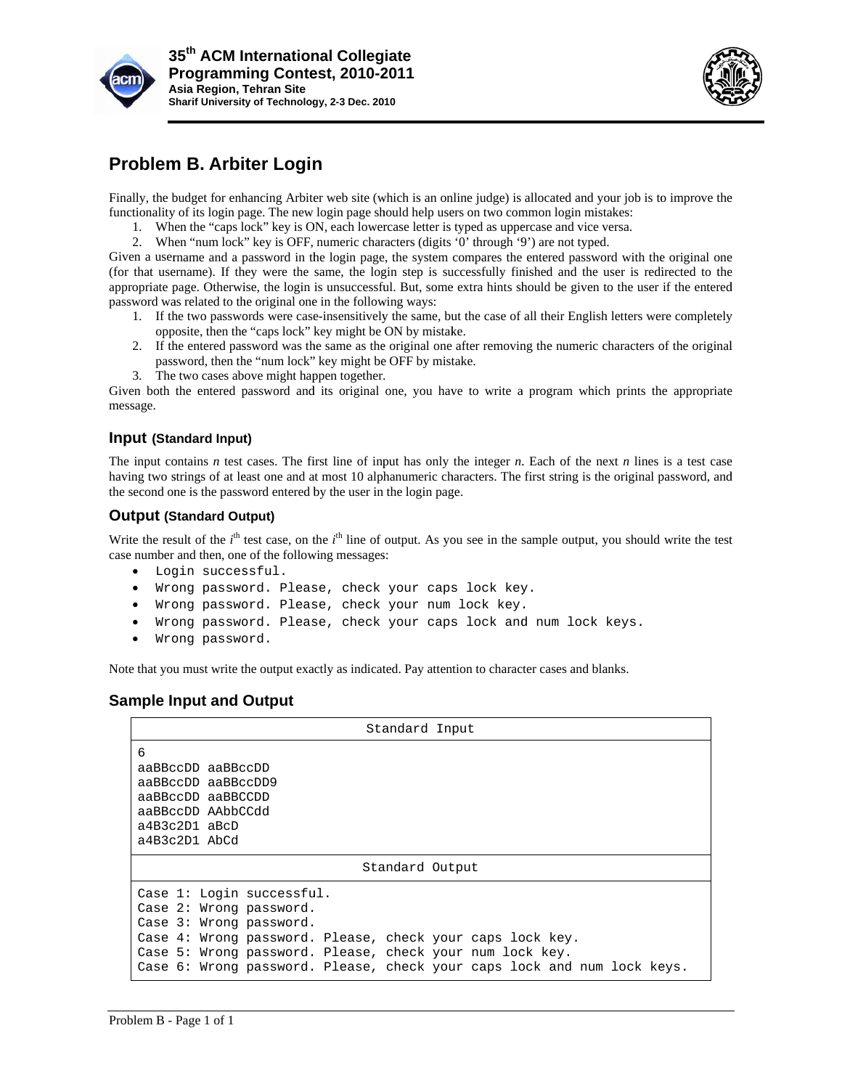



## **Problem B. Arbiter Login**

Finally, the budget for enhancing Arbiter web site (which is an online judge) is allocated and your job is to improve the functionality of its login page. The new login page should help users on two common login mistakes:

- 1. When the "caps lock" key is ON, each lowercase letter is typed as uppercase and vice versa.
- 2. When "num lock" key is OFF, numeric characters (digits '0' through '9') are not typed.

Given a username and a password in the login page, the system compares the entered password with the original one (for that username). If they were the same, the login step is successfully finished and the user is redirected to the appropriate page. Otherwise, the login is unsuccessful. But, some extra hints should be given to the user if the entered password was related to the original one in the following ways: eeedyleeeeeeeeeeeeeeeeeeeeeeeeeeeeeee

- 1. If the two passwords were case-insensitively the same, but the case of all their English letters were completely opposite, then the "caps lock" key might be ON by mistake.
- 2. If the entered password was the same as the original one after removing the numeric characters of the original password, then the "num lock" key might be OFF by mistake.
- 3. The two cases above might happen together.

Given both the entered password and its original one, you have to write a program which prints the appropriate message.

### Input (Standard Input)

The input contains *n* test cases. The first line of input has only the integer *n*. Each of the next *n* lines is a test case having two strings of at least one and at most 10 alphanumeric characters. The first string is the original password, and the second one is the password entered by the user in the login page.

#### **Output (Standard Output)**

Write the result of the  $i<sup>th</sup>$  test case, on the  $i<sup>th</sup>$  line of output. As you see in the sample output, you should write the test case number and then, one of the following messages:

- Login successful.
- . Wrong password. Please, check your caps lock key.
- . Wrong password. Please, check your num lock key.
- Wrong password. Please, check your num lock key.<br>• Wrong password. Please, check your caps lock and num lock keys.
- Wrong password.

Note that you must write the output exactly as indicated. Pay attention to character cases and blanks.

| Standard Input                                                          |
|-------------------------------------------------------------------------|
| 6                                                                       |
| aaBBccDD aaBBccDD                                                       |
| aaBBccDD aaBBccDD9                                                      |
| aaBBccDD aaBBCCDD                                                       |
| aaBBccDD AAbbCCdd                                                       |
| $a4B3c2D1$ $aBcD$                                                       |
| $a4B3c2D1$ AbCd                                                         |
| Standard Output                                                         |
| Case 1: Login successful.                                               |
| Case 2: Wrong password.                                                 |
| Case 3: Wrong password.                                                 |
| Case 4: Wrong password. Please, check your caps lock key.               |
| Case 5: Wrong password. Please, check your num lock key.                |
| Case 6: Wrong password. Please, check your caps lock and num lock keys. |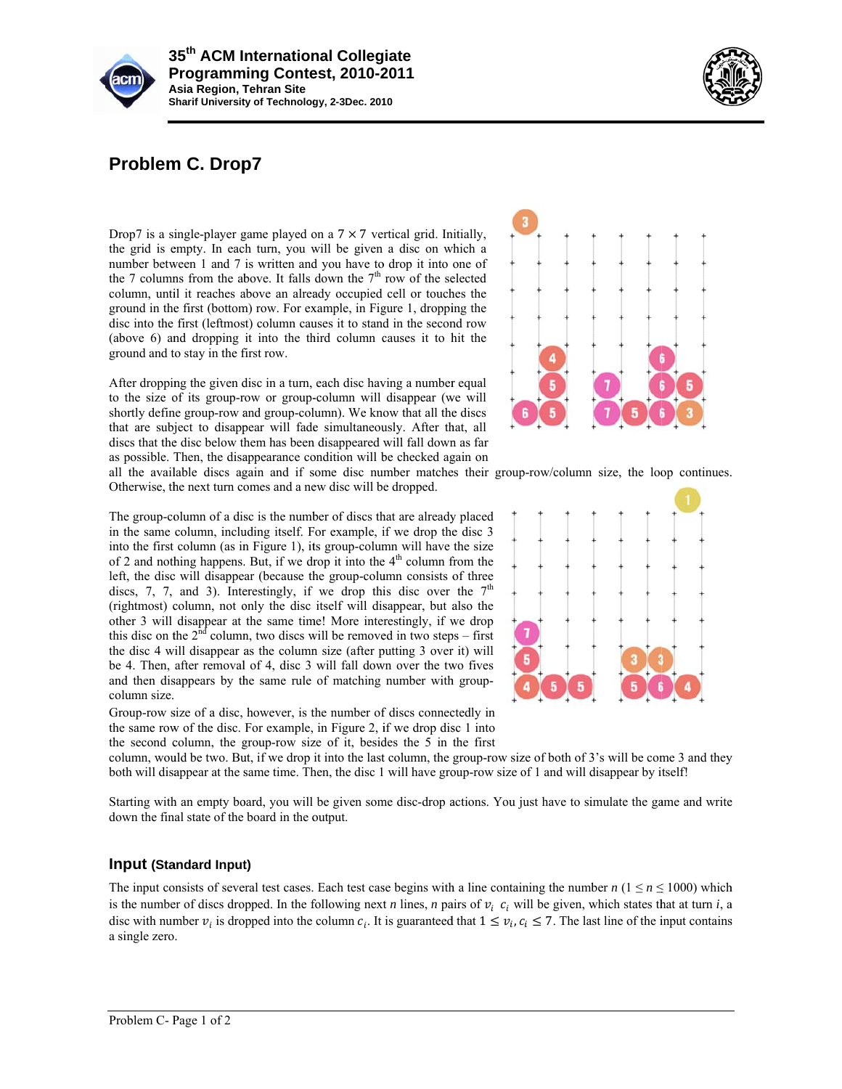



# **Problem C. Drop7**

Drop7 is a single-player game played on a  $7 \times 7$  vertical grid. Initially, the grid is empty. In each turn, you will be given a disc on which a number between 1 and 7 is written and you have to drop it into one of the 7 columns from the above. It falls down the  $7<sup>th</sup>$  row of the selected column, until it reaches above an already occupied cell or touches the ground in the first (bottom) row. For example, in Figure 1, dropping the disc into the first (leftmost) column causes it to stand in the second row (above 6) and dropping it into the third column causes it to hit the ground and t o stay in the f first row.

After dropping the given disc in a turn, each disc having a number equal to the size of its group-row or group-column will disappear (we will shortly define group-row and group-column). We know that all the discs that are subject to disappear will fade simultaneously. After that, all discs that the disc below them has been disappeared will fall down as far as possible. Then, the disappearance condition will be checked again on



all the available discs again and if some disc number matches their group-row/column size, the loop continues. Otherwise, the next turn comes and a new disc will be dropped.

The group-column of a disc is the number of discs that are already placed in the same column, including itself. For example, if we drop the disc 3 into the first column (as in Figure 1), its group-column will have the size of 2 and nothing happens. But, if we drop it into the  $4<sup>th</sup>$  column from the left, the disc will disappear (because the group-column consists of three discs, 7, 7, and 3). Interestingly, if we drop this disc over the  $7<sup>th</sup>$ (rightmost) column, not only the disc itself will disappear, but also the other 3 will disappear at the same time! More interestingly, if we drop this disc on the  $2<sup>nd</sup>$  column, two discs will be removed in two steps – first the disc 4 will disappear as the column size (after putting 3 over it) will be 4. Then, after removal of 4, disc 3 will fall down over the two fives and then disappears by the same rule of matching number with groupcolumn size.

Group-row size of a disc, however, is the number of discs connectedly in the same row of the disc. For example, in Figure 2, if we drop disc 1 into the second column, the group-row size of it, besides the 5 in the first



column, would be two. But, if we drop it into the last column, the group-row size of both of 3's will be come 3 and they both will disappear at the same time. Then, the disc 1 will have group-row size of 1 and will disappear by itself!

Starting with an empty board, you will be given some disc-drop actions. You just have to simulate the game and write down the final state of the board in the output.

### Input (Standard Input)

The input consists of several test cases. Each test case begins with a line containing the number *n* ( $1 \le n \le 1000$ ) which is the number of discs dropped. In the following next *n* lines, *n* pairs of  $v_i$   $c_i$  will be given, which states that at turn *i*, a disc with number  $v_i$  is dropped into the column  $c_i$ . It is guaranteed that  $1 \le v_i$ ,  $c_i \le 7$ . The last line of the input contains a single zero . s.<br>ee<br>has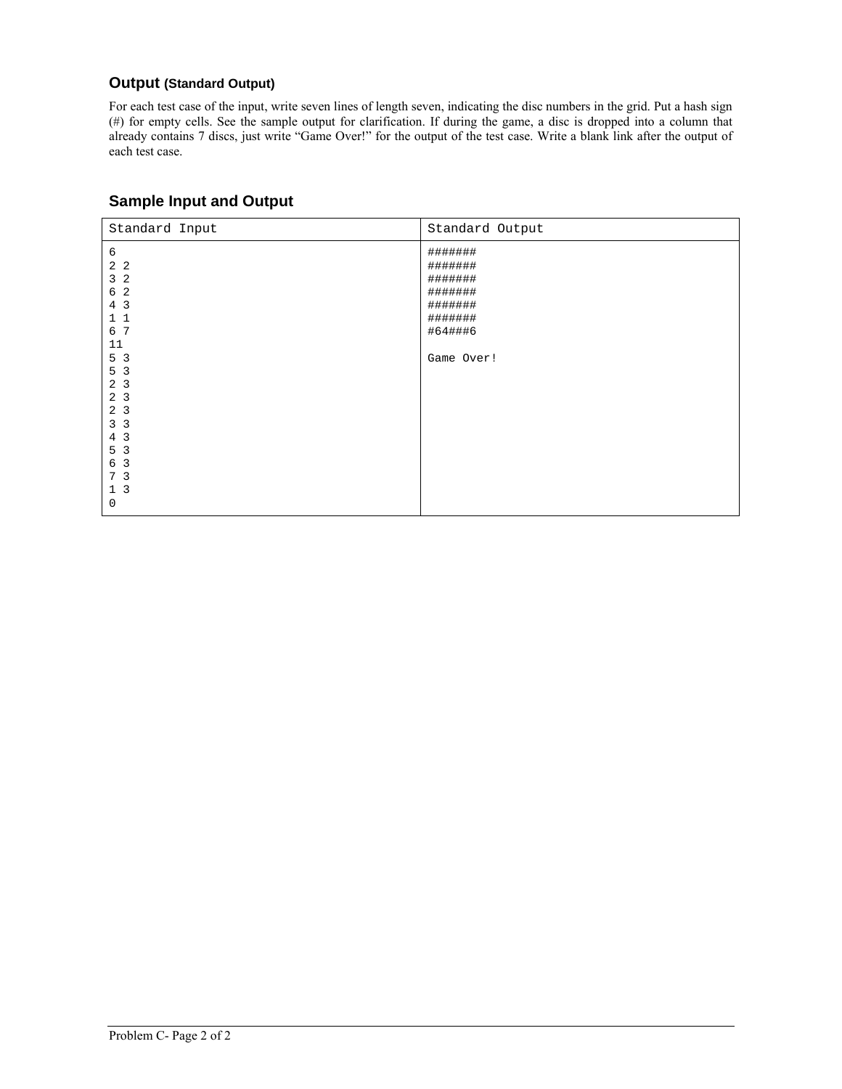### **Output (Standard Output)**

For each test case of the input, write seven lines of length seven, indicating the disc numbers in the grid. Put a hash sign (#) for empty cells. See the sample output for clarification. If during the game, a disc is dropped into a column that already contains 7 discs, just write "Game Over!" for the output of the test case. Write a blank link after the output of each test case.

| Standard Input                                                                                                                                                                       | Standard Output                                                                         |
|--------------------------------------------------------------------------------------------------------------------------------------------------------------------------------------|-----------------------------------------------------------------------------------------|
| 6<br>2 <sub>2</sub><br>3 <sub>2</sub><br>6 2<br>4 3<br>11<br>6 7<br>11<br>5 <sub>3</sub>                                                                                             | #######<br>#######<br>#######<br>#######<br>#######<br>#######<br>#64###6<br>Game Over! |
| 5 <sub>3</sub><br>2 <sub>3</sub><br>2 <sub>3</sub><br>$\overline{3}$<br>2<br>3 <sub>3</sub><br>4 <sup>3</sup><br>$\overline{3}$<br>5<br>6 3<br>7 <sub>3</sub><br>1 <sup>3</sup><br>0 |                                                                                         |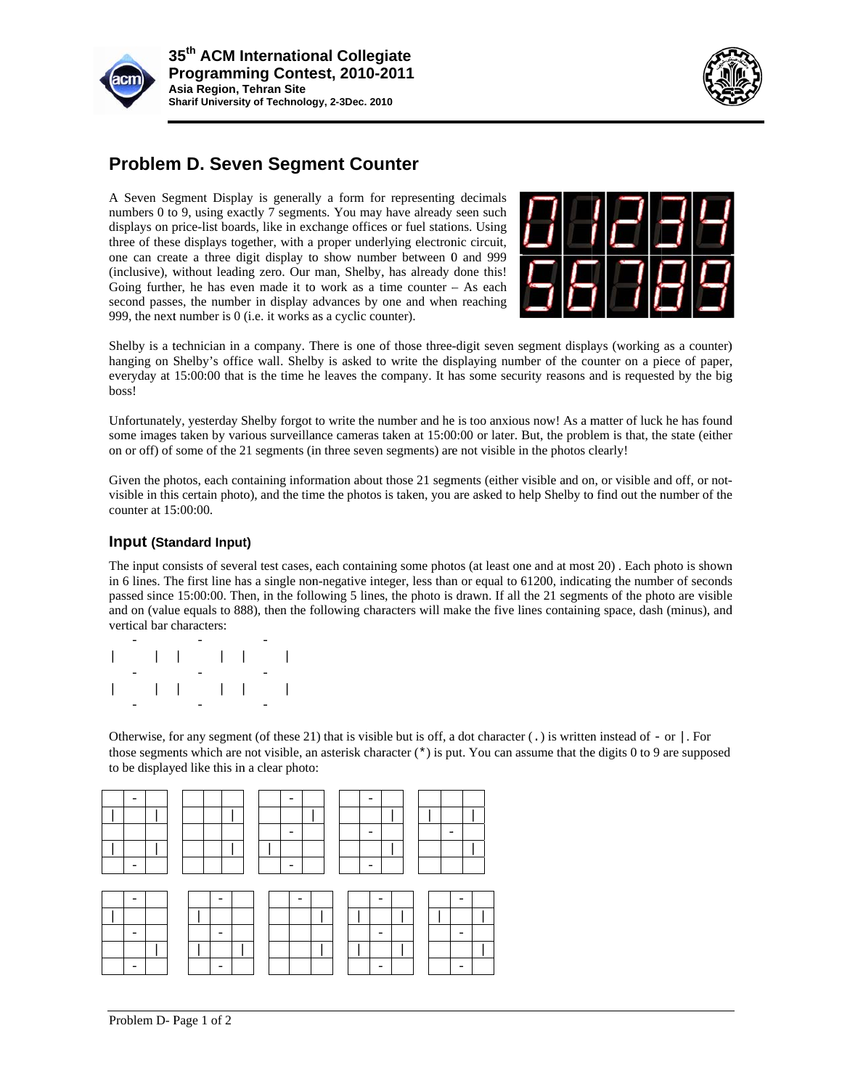



## **Problem D. Seven Segment Counter**

A Seven Segment Display is generally a form for representing decimals numbers 0 to 9, using exactly 7 segments. You may have already seen such displays on price-list boards, like in exchange offices or fuel stations. Using three of these displays together, with a proper underlying electronic circuit, one can create a three digit display to show number between 0 and 999 (inclusive), without leading zero. Our man, Shelby, has already done this! Going further, he has even made it to work as a time counter  $-$  As each second passes, the number in display advances by one and when reaching 999, the next number is 0 (i.e. it works as a cyclic counter).



Shelby is a technician in a company. There is one of those three-digit seven segment displays (working as a counter) hanging on Shelby's office wall. Shelby is asked to write the displaying number of the counter on a piece of paper, everyday at 15:00:00 that is the time he leaves the company. It has some security reasons and is requested by the big boss! ;) r, g<br>d :r<br>t-

Unfortunately, yesterday Shelby forgot to write the number and he is too anxious now! As a matter of luck he has found some images taken by various surveillance cameras taken at 15:00:00 or later. But, the problem is that, the state (either on or off) of some of the 21 segments (in three seven segments) are not visible in the photos clearly!

Given the photos, each containing information about those 21 segments (either visible and on, or visible and off, or notvisible in this certain photo), and the time the photos is taken, you are asked to help Shelby to find out the number of the counter at 15 5:00:00.

#### Input (Standard Input)

The input consists of several test cases, each containing some photos (at least one and at most 20). Each photo is shown in 6 lines. The first line has a single non-negative integer, less than or equal to 61200, indicating the number of seconds passed since 15:00:00. Then, in the following 5 lines, the photo is drawn. If all the 21 segments of the photo are visible and on (value equals to 888), then the following characters will make the five lines containing space, dash (minus), and vertical bar characters: e<br>nsed<br>d

| $\begin{array}{cccccccccccccc}   & &   & &   & &   & &   & &   & &   & &   & &   \end{array}$ |  |  |  |  |
|-----------------------------------------------------------------------------------------------|--|--|--|--|
|                                                                                               |  |  |  |  |
| $\begin{array}{cccccccccccccc}   & &   & &   & &   & &   & &   & &   & &   & &   \end{array}$ |  |  |  |  |
|                                                                                               |  |  |  |  |

Otherwise, for any segment (of these 21) that is visible but is off, a dot character (.) is written instead of - or |. For those segments which are not visible, an asterisk character (\*) is put. You can assume that the digits 0 to 9 are supposed to be displayed like this in a clear photo: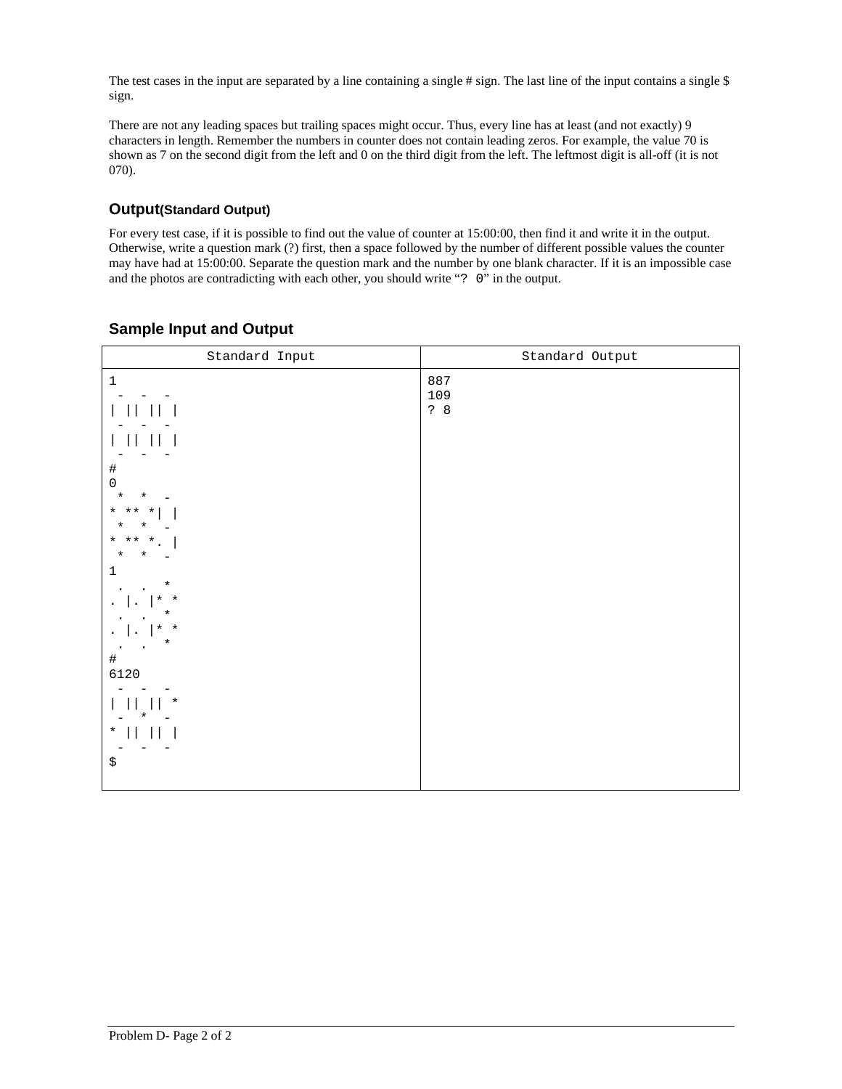The test cases in the input are separated by a line containing a single  $\#$  sign. The last line of the input contains a single  $\$ sign.

There are not any leading spaces but trailing spaces might occur. Thus, every line has at least (and not exactly) 9 characters in length. Remember the numbers in counter does not contain leading zeros. For example, the value 70 is shown as 7 on the second digit from the left and 0 on the third digit from the left. The leftmost digit is all-off (it is not  $070$ ).

### **Output(Standard Output)**

For every test case, if it is possible to find out the value of counter at 15:00:00, then find it and write it in the output. Otherwise, write a question mark (?) first, then a space followed by the number of different possible values the counter may have had at 15:00:00. Separate the question mark and the number by one blank character. If it is an impossible case and the photos are contradicting with each other, you should write "? 0" in the output.

| Standard Input                                                                                                                                                                                                                                                       | Standard Output   |  |  |  |  |  |
|----------------------------------------------------------------------------------------------------------------------------------------------------------------------------------------------------------------------------------------------------------------------|-------------------|--|--|--|--|--|
| $\,1$<br>$\begin{array}{c} \# \\ 0 \end{array}$<br>$\star$<br>$^\star$<br>$*$ $**$ $*$<br>$\star$<br>¥<br>$*$ $**$ $*$<br>$\star$<br>$^\star$<br>$\mathbf{1}$<br>$\star$<br>$\star$ $\star$<br>$^\star$<br>$\star$ $\star$<br>$^\star$<br>#<br>6120<br>$^\star$<br>* | 887<br>109<br>? 8 |  |  |  |  |  |
| $^\star$<br>\$                                                                                                                                                                                                                                                       |                   |  |  |  |  |  |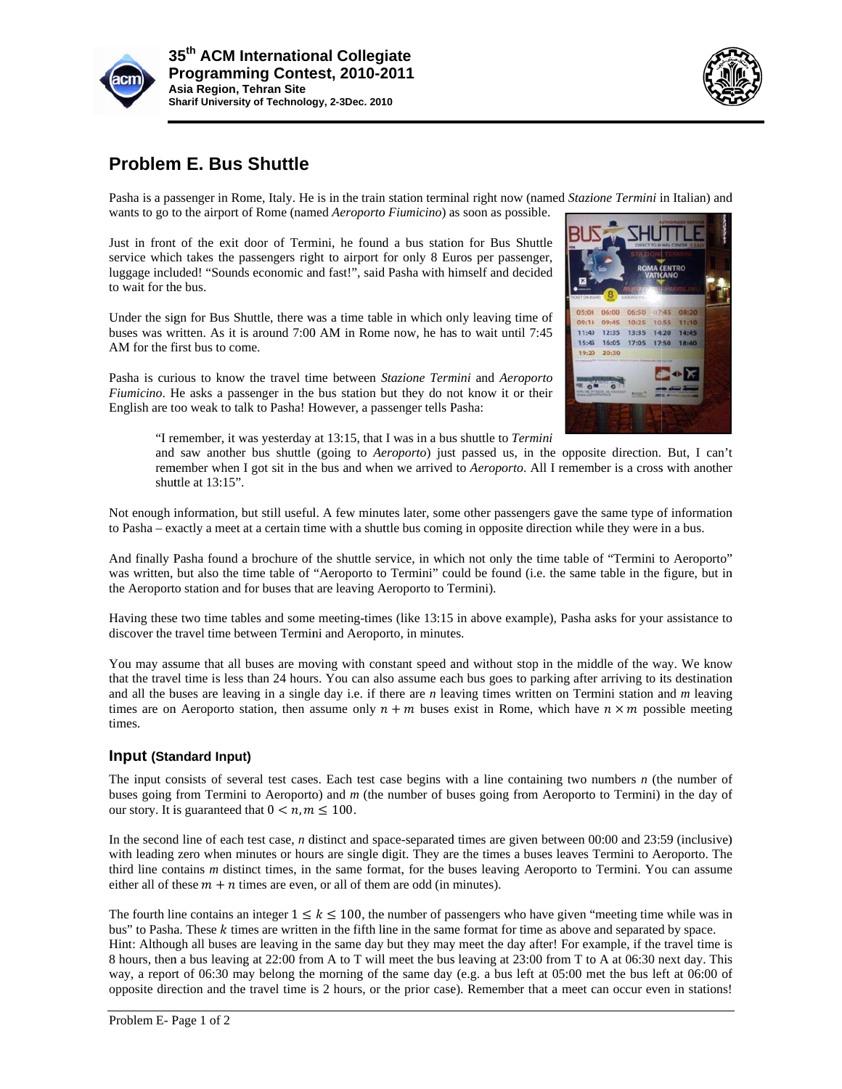



### **Problem m E. Bus Shuttle**

Pasha is a passenger in Rome, Italy. He is in the train station terminal right now (named *Stazione Termini* in Italian) and wants to go to the airport of Rome (named *Aeroporto Fiumicino*) as soon as possible.

Just in front of the exit door of Termini, he found a bus station for Bus Shuttle service which takes the passengers right to airport for only 8 Euros per passenger, luggage included! "Sounds economic and fast!", said Pasha with himself and decided to wait for the bus.

Under the sign for Bus Shuttle, there was a time table in which only leaving time of buses was written. As it is around 7:00 AM in Rome now, he has to wait until 7:45 AM for the first bus to come.

Pasha is curious to know the travel time between *Stazione Termini* and *Aeroporto* Fiumicino. He asks a passenger in the bus station but they do not know it or their English are too weak to talk to Pasha! However, a passenger tells Pasha:



"I remember, it was yesterday at 13:15, that I was in a bus shuttle to *Termini* 

and saw another bus shuttle (going to *Aeroporto*) just passed us, in the opposite direction. But, I can't remember when I got sit in the bus and when we arrived to *Aeroporto*. All I remember is a cross with another shuttle at 13:15".

Not enough information, but still useful. A few minutes later, some other passengers gave the same type of information to Pasha – exactly a meet at a certain time with a shuttle bus coming in opposite direction while they were in a bus.

And finally Pasha found a brochure of the shuttle service, in which not only the time table of "Termini to Aeroporto" was written, but also the time table of "Aeroporto to Termini" could be found (i.e. the same table in the figure, but in the Aeroporto station and for buses that are leaving Aeroporto to Termini).

Having these two time tables and some meeting-times (like 13:15 in above example), Pasha asks for your assistance to discover the travel time between Termini and Aeroporto, in minutes.

You may assume that all buses are moving with constant speed and without stop in the middle of the way. We know that the travel time is less than 24 hours. You can also assume each bus goes to parking after arriving to its destination and all the buses are leaving in a single day i.e. if there are *n* leaving times written on Termini station and *m* leaving times are on Aeroporto station, then assume only  $n + m$  buses exist in Rome, which have  $n \times m$  possible meeting times.

### Input (Standard Input)

The input consists of several test cases. Each test case begins with a line containing two numbers *n* (the number of buses going from Termini to Aeroporto) and *m* (the number of buses going from Aeroporto to Termini) in the day of our story. It is guaranteed that  $0 < n, m \le 100$ .

In the second line of each test case, *n* distinct and space-separated times are given between 00:00 and 23:59 (inclusive) with leading zero when minutes or hours are single digit. They are the times a buses leaves Termini to Aeroporto. The third line contains *m* distinct times, in the same format, for the buses leaving Aeroporto to Termini. You can assume either all of these  $m + n$  times are even, or all of them are odd (in minutes).

The fourth line contains an integer  $1 \le k \le 100$ , the number of passengers who have given "meeting time while was in bus" to Pasha. These  $k$  times are written in the fifth line in the same format for time as above and separated by space. Hint: Although all buses are leaving in the same day but they may meet the day after! For example, if the travel time is 8 hours, then a bus leaving at 22:00 from A to T will meet the bus leaving at 23:00 from T to A at 06:30 next day. This way, a report of 06:30 may belong the morning of the same day (e.g. a bus left at 05:00 met the bus left at 06:00 of opposite direction and the travel time is 2 hours, or the prior case). Remember that a meet can occur even in stations!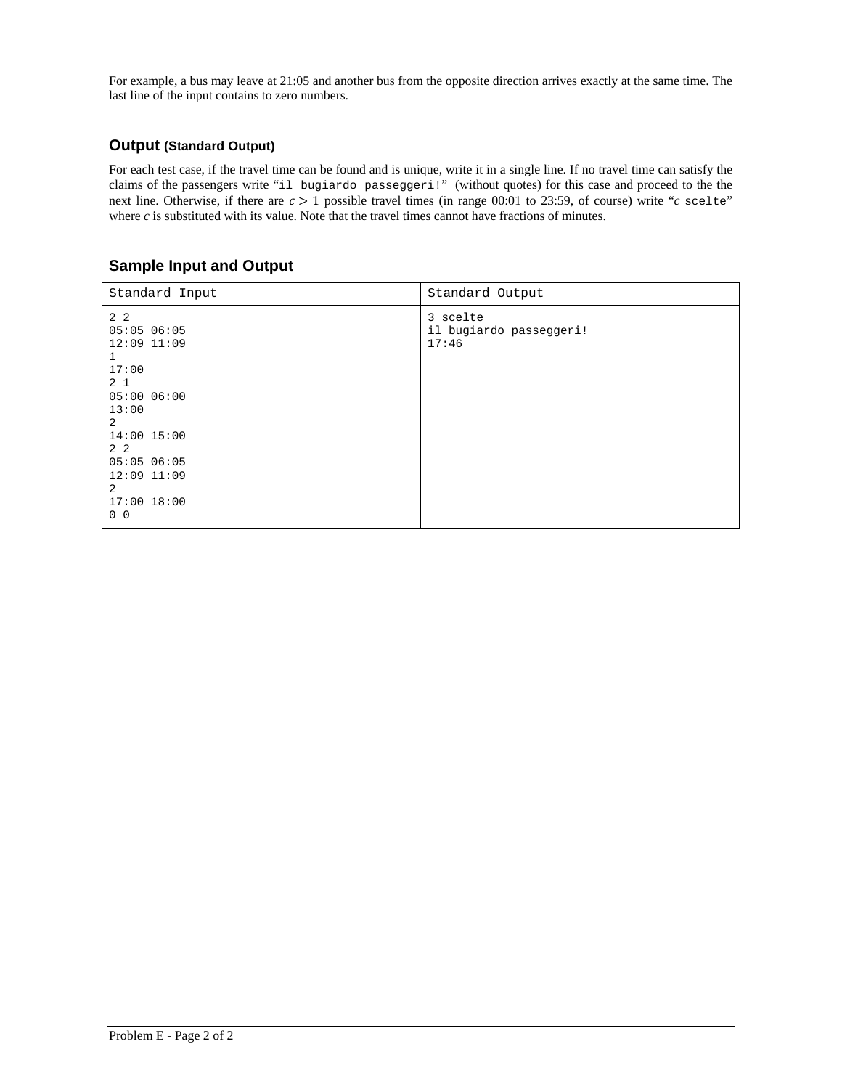For example, a bus may leave at 21:05 and another bus from the opposite direction arrives exactly at the same time. The last line of the input contains to zero numbers.

### **Output (Standard Output)**

For each test case, if the travel time can be found and is unique, write it in a single line. If no travel time can satisfy the claims of the passengers write "il bugiardo passeggeri!" (without quotes) for this case and proceed to the the next line. Otherwise, if there are  $c > 1$  possible travel times (in range 00:01 to 23:59, of course) write " $c$  scelte" where  $c$  is substituted with its value. Note that the travel times cannot have fractions of minutes.

| Standard Input                                                                                                                                                                                               | Standard Output                              |
|--------------------------------------------------------------------------------------------------------------------------------------------------------------------------------------------------------------|----------------------------------------------|
| 2 2<br>05:0506:05<br>$12:09$ $11:09$<br>1<br>17:00<br>2 <sub>1</sub><br>05:0006:00<br>13:00<br>2<br>14:00 15:00<br>2 <sub>2</sub><br>05:0506:05<br>$12:09$ $11:09$<br>2<br>$17:00$ $18:00$<br>0 <sub>0</sub> | 3 scelte<br>il bugiardo passeggeri!<br>17:46 |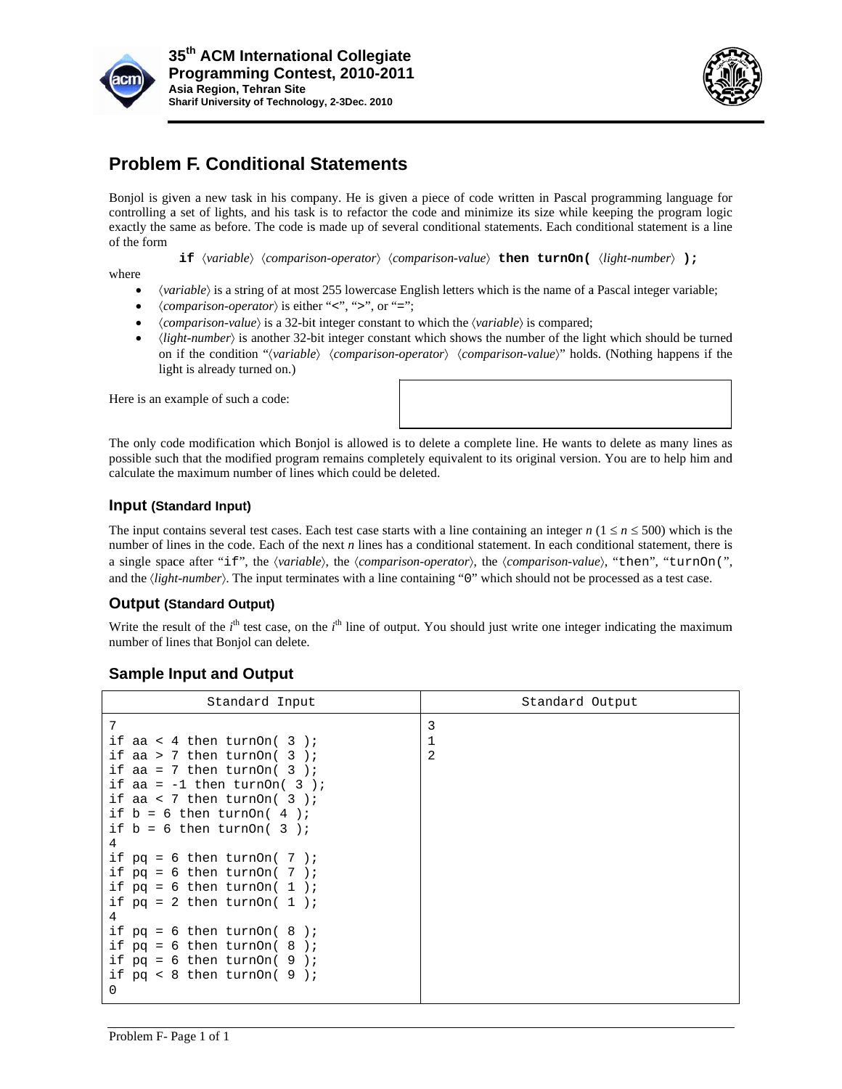



## **Problem F. Conditional Statements**

- (variable) is a string of at most 255 lowercase English letters which is the name of a Pascal integer variable;
- $\langle comparison\text{-}operator\rangle$  is either "<", ">", or "=";
- *(comparison-value)* is a 32-bit integer constant to which the *(variable)* is compared;
- *light-number*) is a 32-bit integer constant to which the *(variable)* is compared;<br>*ight-number*) is another 32-bit integer constant which shows the number of the light which should be turned on if the condition "*(variable) (comparison-operator) (comparison-value)*" holds. (Nothing happens if the light is already turned on.)

#### Input (Standard Input)

### **Output (Standard Output)**

| 35 <sup>th</sup> ACM International Collegiate<br>Programming Contest, 2010-2011<br>Asia Region, Tehran Site<br>Sharif University of Technology, 2-3Dec. 2010                                                                                                        |                                                                                                                                                                                                                                                                                                                                                                                                                                                                                                                                                                                                                                                                                                                                                                                                                                                                                                                                          |
|---------------------------------------------------------------------------------------------------------------------------------------------------------------------------------------------------------------------------------------------------------------------|------------------------------------------------------------------------------------------------------------------------------------------------------------------------------------------------------------------------------------------------------------------------------------------------------------------------------------------------------------------------------------------------------------------------------------------------------------------------------------------------------------------------------------------------------------------------------------------------------------------------------------------------------------------------------------------------------------------------------------------------------------------------------------------------------------------------------------------------------------------------------------------------------------------------------------------|
| <b>Problem F. Conditional Statements</b>                                                                                                                                                                                                                            |                                                                                                                                                                                                                                                                                                                                                                                                                                                                                                                                                                                                                                                                                                                                                                                                                                                                                                                                          |
| of the form<br>where<br>٠<br>$\langle comparison\text{-}operator\rangle$ is either "<", ">", or "=";<br>$\bullet$<br>(comparison-value) is a 32-bit integer constant to which the (variable) is compared;<br>$\bullet$<br>$\bullet$<br>light is already turned on.) | Bonjol is given a new task in his company. He is given a piece of code written in Pascal programming language for<br>controlling a set of lights, and his task is to refactor the code and minimize its size while keeping the program logic<br>exactly the same as before. The code is made up of several conditional statements. Each conditional statement is a line<br><b>if</b> $\langle variable \rangle$ $\langle comparison\text{-}operator \rangle$ $\langle comparison\text{-}value \rangle$ <b>then turnOn(</b> $\langle light\text{-}number \rangle$ <b>);</b><br>(variable) is a string of at most 255 lowercase English letters which is the name of a Pascal integer variable;<br>$\langle light-number\rangle$ is another 32-bit integer constant which shows the number of the light which should be turned<br>on if the condition "(variable) (comparison-operator) (comparison-value)" holds. (Nothing happens if the |
| Here is an example of such a code:                                                                                                                                                                                                                                  |                                                                                                                                                                                                                                                                                                                                                                                                                                                                                                                                                                                                                                                                                                                                                                                                                                                                                                                                          |
| calculate the maximum number of lines which could be deleted.                                                                                                                                                                                                       | The only code modification which Bonjol is allowed is to delete a complete line. He wants to delete as many lines as<br>possible such that the modified program remains completely equivalent to its original version. You are to help him and                                                                                                                                                                                                                                                                                                                                                                                                                                                                                                                                                                                                                                                                                           |
| <b>Input (Standard Input)</b>                                                                                                                                                                                                                                       |                                                                                                                                                                                                                                                                                                                                                                                                                                                                                                                                                                                                                                                                                                                                                                                                                                                                                                                                          |
| and the $\langle light-number\rangle$ . The input terminates with a line containing "0" which should not be processed as a test case.                                                                                                                               | The input contains several test cases. Each test case starts with a line containing an integer $n (1 \le n \le 500)$ which is the<br>number of lines in the code. Each of the next $n$ lines has a conditional statement. In each conditional statement, there is<br>a single space after "if", the (variable), the (comparison-operator), the (comparison-value), "then", "turnOn(",                                                                                                                                                                                                                                                                                                                                                                                                                                                                                                                                                    |
| <b>Output (Standard Output)</b>                                                                                                                                                                                                                                     |                                                                                                                                                                                                                                                                                                                                                                                                                                                                                                                                                                                                                                                                                                                                                                                                                                                                                                                                          |
| number of lines that Bonjol can delete.                                                                                                                                                                                                                             | Write the result of the $i^{\text{th}}$ test case, on the $i^{\text{th}}$ line of output. You should just write one integer indicating the maximum                                                                                                                                                                                                                                                                                                                                                                                                                                                                                                                                                                                                                                                                                                                                                                                       |
| <b>Sample Input and Output</b>                                                                                                                                                                                                                                      |                                                                                                                                                                                                                                                                                                                                                                                                                                                                                                                                                                                                                                                                                                                                                                                                                                                                                                                                          |
| Standard Input                                                                                                                                                                                                                                                      | Standard Output                                                                                                                                                                                                                                                                                                                                                                                                                                                                                                                                                                                                                                                                                                                                                                                                                                                                                                                          |
| 7<br>if aa < 4 then turnOn( $3$ );<br>if aa > 7 then turnOn( $3$ );<br>if aa = 7 then turnOn( $3$ );<br>if aa = $-1$ then turnOn( 3);<br>if aa < 7 then turnOn( $3$ );<br>if $b = 6$ then turnOn(4);<br>if $b = 6$ then turnOn(3);<br>4                             | 3<br>$\mathbf 1$<br>2                                                                                                                                                                                                                                                                                                                                                                                                                                                                                                                                                                                                                                                                                                                                                                                                                                                                                                                    |
| if $pq = 6$ then turnOn( 7 );<br>if $pq = 6$ then turnOn( 7 );<br>if $pq = 6$ then turnOn(1);<br>if $pq = 2$ then turnOn(1);<br>4<br>if $pq = 6$ then turnOn( 8 );<br>if $pq = 6$ then turnOn( 8 );                                                                 |                                                                                                                                                                                                                                                                                                                                                                                                                                                                                                                                                                                                                                                                                                                                                                                                                                                                                                                                          |
| if $pq = 6$ then turnOn( 9);<br>if $pq < 8$ then turnOn( 9 );<br>0                                                                                                                                                                                                  |                                                                                                                                                                                                                                                                                                                                                                                                                                                                                                                                                                                                                                                                                                                                                                                                                                                                                                                                          |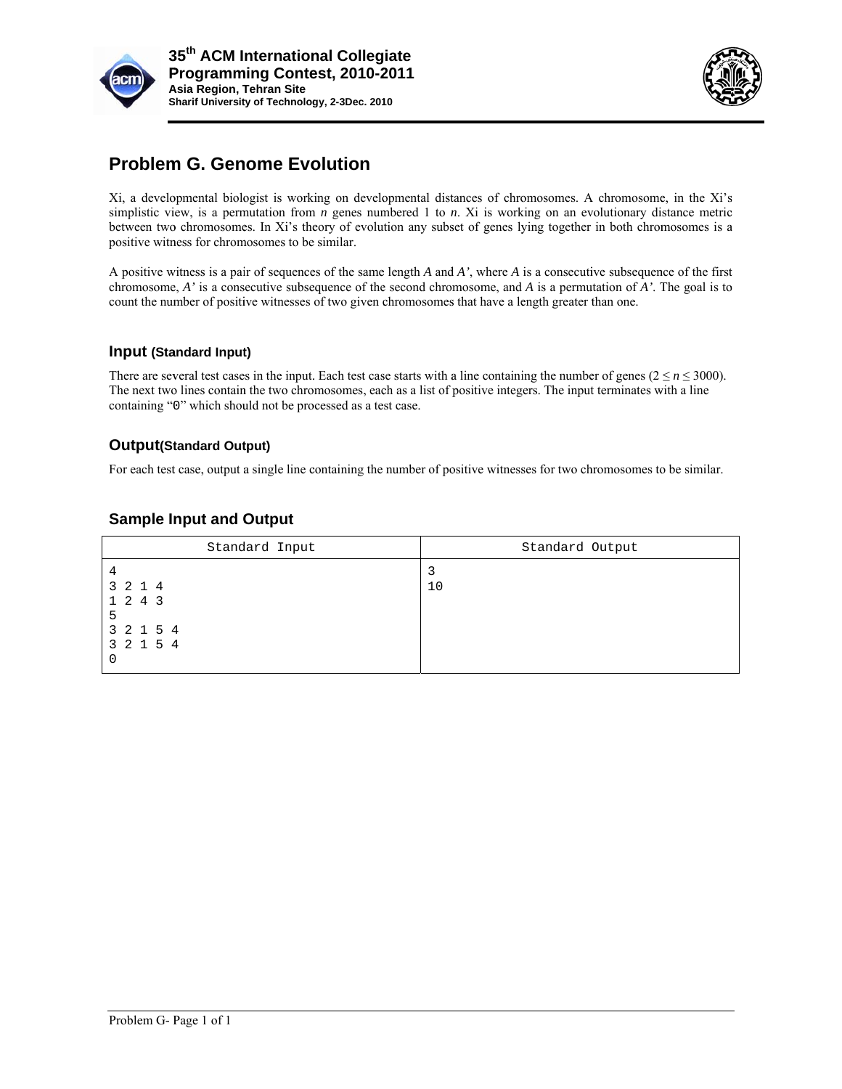



# **Problem G. Genome Evolution**

Xi, a developmental biologist is working on developmental distances of chromosomes. A chromosome, in the Xi's simplistic view, is a permutation from  $n$  genes numbered 1 to  $n$ . Xi is working on an evolutionary distance metric between two chromosomes. In Xi's theory of evolution any subset of genes lying together in both chromosomes is a positive witness for chromosomes to be similar.

A positive witness is a pair of sequences of the same length  $A$  and  $A'$ , where  $A$  is a consecutive subsequence of the first chromosome,  $A'$  is a consecutive subsequence of the second chromosome, and  $A$  is a permutation of  $A'$ . The goal is to count the number of positive witnesses of two given chromosomes that have a length greater than one.

### Input (Standard Input)

There are several test cases in the input. Each test case starts with a line containing the number of genes ( $2 \le n \le 3000$ ). The next two lines contain the two chromosomes, each as a list of positive integers. The input terminates with a line containing "0" which should not be processed as a test case.

### **Output(Standard Output)**

For each test case, output a single line containing the number of positive witnesses for two chromosomes to be similar.

| Standard Input                                         | Standard Output |  |  |  |  |  |  |
|--------------------------------------------------------|-----------------|--|--|--|--|--|--|
| 4<br>3 2 1 4<br>1 2 4 3<br>5<br>3 2 1 5 4<br>3 2 1 5 4 | 10              |  |  |  |  |  |  |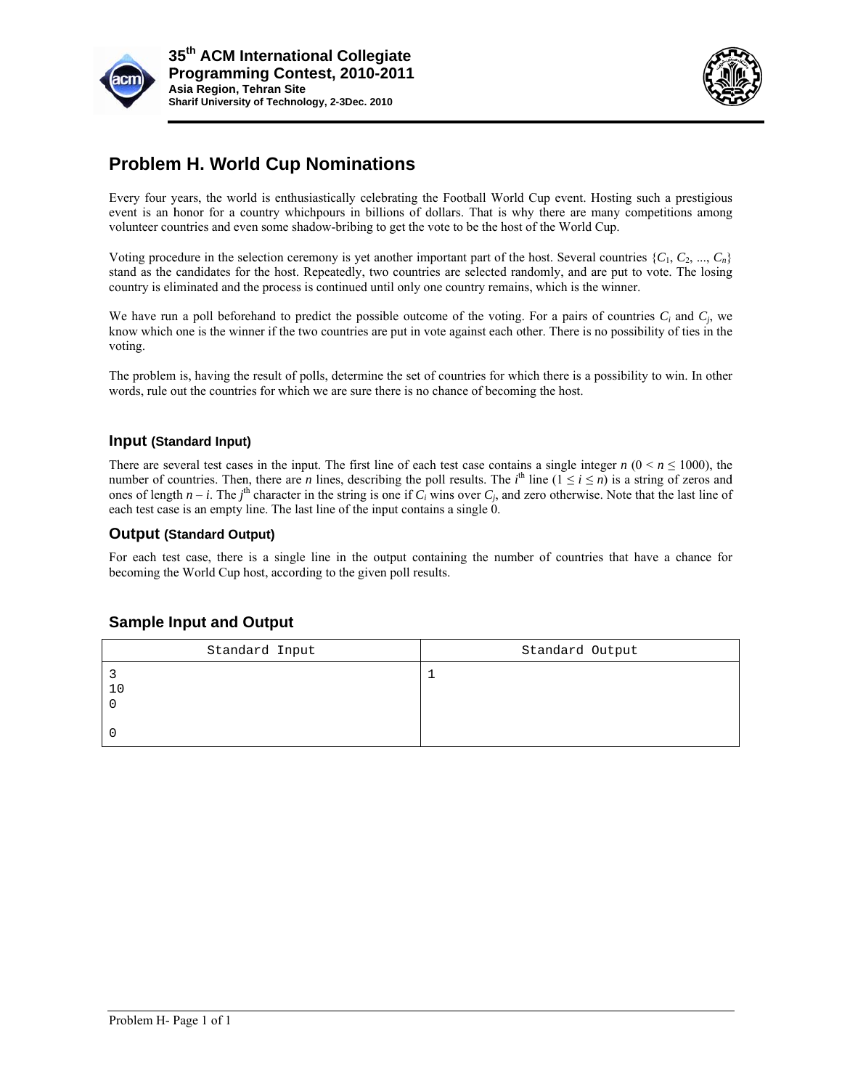



## **Problem H. World Cup Nominations**

Every four years, the world is enthusiastically celebrating the Football World Cup event. Hosting such a prestigious event is an honor for a country which pours in billions of dollars. That is why there are many competitions among volunteer countries and even some shadow-bribing to get the vote to be the host of the World Cup.

Voting procedure in the selection ceremony is yet another important part of the host. Several countries  $\{C_1, C_2, ..., C_n\}$ stand as the candidates for the host. Repeatedly, two countries are selected randomly, and are put to vote. The losing country is eliminated and the process is continued until only one country remains, which is the winner.

We have run a poll beforehand to predict the possible outcome of the voting. For a pairs of countries  $C_i$  and  $C_j$ , we know which one is the winner if the two countries are put in vote against each other. There is no possibility of ties in the voting.

The problem is, having the result of polls, determine the set of countries for which there is a possibility to win. In other words, rule out the countries for which we are sure there is no chance of becoming the host.

### **Input (Standard Input)**

There are several test cases in the input. The first line of each test case contains a single integer  $n (0 \le n \le 1000)$ , the number of countries. Then, there are *n* lines, describing the poll results. The *i*<sup>th</sup> line  $(1 \le i \le n)$  is a string of zeros and ones of length  $n - i$ . The  $j<sup>th</sup>$  character in the string is one if  $C_i$  wins over  $C_j$ , and zero otherwise. Note that the last line of each test case is an empty line. The last line of the input contains a single 0.

#### **Output (Standard Output)**

For each test case, there is a single line in the output containing the number of countries that have a chance for becoming the World Cup host, according to the given poll results.

| Standard Input | Standard Output |  |  |  |  |  |  |
|----------------|-----------------|--|--|--|--|--|--|
|                |                 |  |  |  |  |  |  |
|                |                 |  |  |  |  |  |  |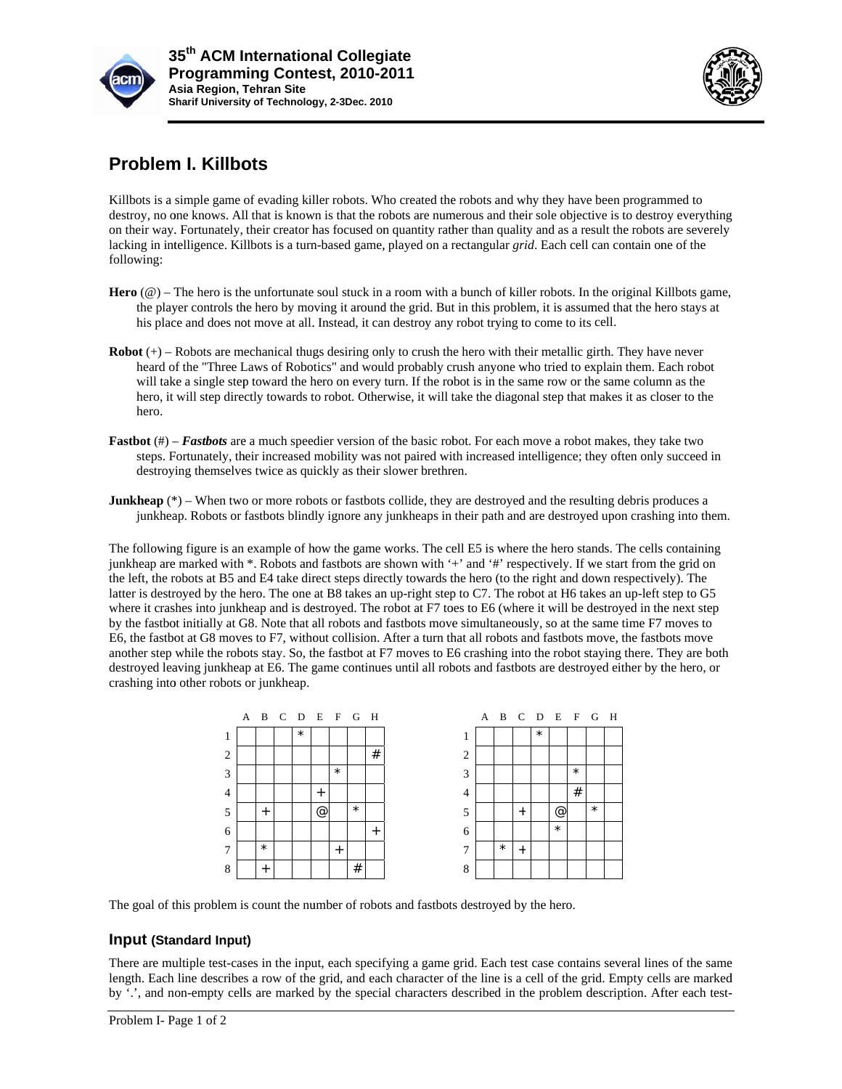



## **Problem I. Killbots**

Killbots is a simple game of evading killer robots. Who created the robots and why they have been programmed to destroy, no one knows. All that is known is that the robots are numerous and their sole objective is to destroy everything on their way. Fortunately, their creator has focused on quantity rather than quality and as a result the robots are severely lacking in intelligence. Killbots is a turn-based game, played on a rectangular *grid*. Each cell can contain one of the following:

- **Hero**  $(\mathcal{Q})$  The hero is the unfortunate soul stuck in a room with a bunch of killer robots. In the original Killbots game, the player controls the hero by moving it around the grid. But in this problem, it is assumed that the hero stays at his place and does not move at all. Instead, it can destroy any robot trying to come to its cell.
- $$ heard of the "Three Laws of Robotics" and would probably crush anyone who tried to explain them. Each robot will take a single step toward the hero on every turn. If the robot is in the same row or the same column as the hero, it will step directly towards to robot. Otherwise, it will take the diagonal step that makes it as closer to the hero.
- **Fastbot** (#) **Fastbots** are a much speedier version of the basic robot. For each move a robot makes, they take two steps. Fortunately, their increased mobility was not paired with increased intelligence; they often only succeed in destroying themselves twice as quickly as their slower brethren.
- **Junkheap** (\*) When two or more robots or fastbots collide, they are destroyed and the resulting debris produces a junkheap. Robots or fastbots blindly ignore any junkheaps in their path and are destroyed upon crashing into them.

The following figure is an example of how the game works. The cell E5 is where the hero stands. The cells containing junkheap are marked with \*. Robots and fastbots are shown with '+' and '#' respectively. If we start from the grid on the left, the robots at B5 and E4 take direct steps directly towards the hero (to the right and down respectively). The latter is destroyed by the hero. The one at B8 takes an up-right step to C7. The robot at H6 takes an up-left step to G5 where it crashes into junkheap and is destroyed. The robot at F7 toes to E6 (where it will be destroyed in the next step by the fastbot initially at G8. Note that all robots and fastbots move simultaneously, so at the same time F7 moves to E6, the fastbot at G8 moves to F7, without collision. After a turn that all robots and fastbots move, the fastbots move another step while the robots stay. So, the fastbot at F7 moves to E6 crashing into the robot staying there. They are both destroyed leaving junkheap at E6. The game continues until all robots and fastbots are destroyed either by the hero, or crashing into other robots or junkheap. gy<br>e.,<br>e.

|                |         |         |           | A B C D E F G H |         |        |                | A B C D E F G H |           |         |         |          |         |  |
|----------------|---------|---------|-----------|-----------------|---------|--------|----------------|-----------------|-----------|---------|---------|----------|---------|--|
| 1              |         | $\star$ |           |                 |         |        |                |                 |           | $\star$ |         |          |         |  |
| 2              |         |         |           |                 |         | #      | $\overline{2}$ |                 |           |         |         |          |         |  |
| 3              |         |         |           | $\star$         |         |        | 3              |                 |           |         |         | $^\star$ |         |  |
| $\overline{4}$ |         |         | $\ddot{}$ |                 |         |        | 4              |                 |           |         |         | #        |         |  |
| 5              | $^{+}$  |         | @         |                 | $\star$ |        | 5              |                 | $\ddot{}$ |         | @       |          | $\star$ |  |
| 6              |         |         |           |                 |         | $^{+}$ | 6              |                 |           |         | $\star$ |          |         |  |
| 7              | $\star$ |         |           | $^{+}$          |         |        | $\mathcal{I}$  | $\star$         | $\ddot{}$ |         |         |          |         |  |
| 8              | $^{+}$  |         |           |                 | #       |        | 8              |                 |           |         |         |          |         |  |

The goal of this problem is count the number of robots and fastbots destroyed by the hero.

### Input (Standard Input)

There are multiple test-cases in the input, each specifying a game grid. Each test case contains several lines of the same length. Each line describes a row of the grid, and each character of the line is a cell of the grid. Empty cells are marked by '.', and non-empty cells are marked by the special characters described in the problem description. After each test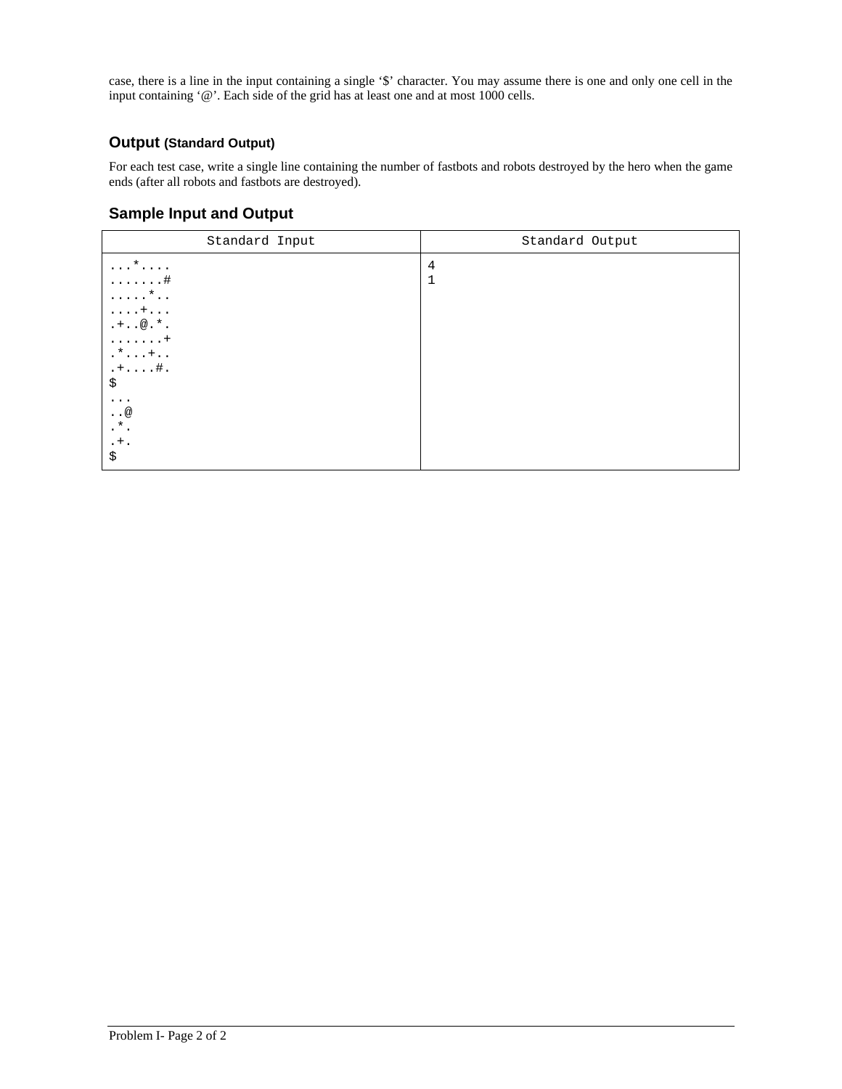case, there is a line in the input containing a single '\$' character. You may assume there is one and only one cell in the input containing '@'. Each side of the grid has at least one and at most 1000 cells.

### **Output (Standard Output)**

For each test case, write a single line containing the number of fastbots and robots destroyed by the hero when the game ends (after all robots and fastbots are destroyed).

| Standard Input                                                                                                                                                                                                                                             | Standard Output |  |  |  |  |  |
|------------------------------------------------------------------------------------------------------------------------------------------------------------------------------------------------------------------------------------------------------------|-----------------|--|--|--|--|--|
| $\ldots$ *<br>4<br>$\mathbf{1}$<br>. #<br>$\ldots$ $\star$<br>$\ldots$ . +.<br>$.+.00.*.$<br>1.1.1.1.1.1<br>$\cdot$ * $\cdot$ $\cdot$ + $\cdot$ $\cdot$<br>$. + #.$<br>\$<br>$\cdots$<br>$\cdot$ . $\circledcirc$<br>$\cdot$ $^{\star}$ .<br>$. + .$<br>\$ |                 |  |  |  |  |  |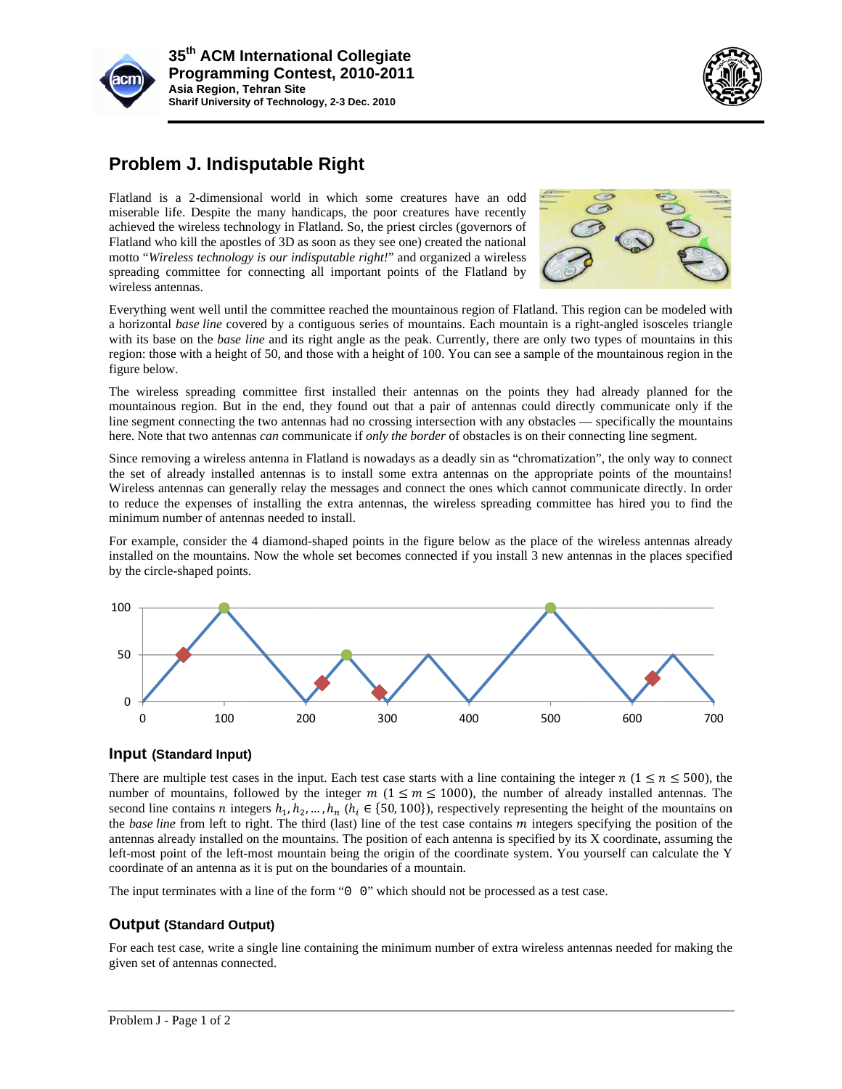



## **Problem J. Indisputable Right**

Flatland is a 2-dimensional world in which some creatures have an odd miserable life. Despite the many handicaps, the poor creatures have recently achieved the wireless technology in Flatland. So, the priest circles (gover miserable life. Despite the many handicaps, the poor creatures have recently achieved the wireless technology in Flatland. So, the priest circles (governors o Flatland who kill the apostles of 3D as soon as they see one) created the national motto "Wireless technology is our indisputable right!" and organized a wireless spreading committee for connecting all important points of the Flatland by wireless antennas. motto "Wireless technology is our indisputable right!" and organized a wireless<br>spreading committee for connecting all important points of the Flatland by<br>Everything went well until the committee reached the mountainous re



a horizontal base line covered by a contiguous series of mountains. Each mountain is a right-angled isosceles triangle with its base on the *base line* and its right angle as the peak. Currently, there are only two types of mountains in this region: those with a height of 50, and those with a height of 100. You can see a sample of the mountainous region in the figure below.

The wireless spreading committee first installed their antennas on the points they had already planned for the mountainous region. But in the end, they found out that a pair of antennas could directly communicate only if the line segment connecting the two antennas had no crossing intersection with any obstacles — specifically the mountains here. Note that two antennas *can* communicate if *only the border* of obstacles is on their connecting line segment.

Since removing a wireless antenna in Flatland is nowadays as a deadly sin as "chromatization", the only way to connect the set of already installed antennas is to install some extra antennas on the appropriate points of the mountains! Wireless antennas can generally relay the messages and connect the ones which cannot communicate directly. In order to reduce the expenses of installing the extra antennas, the wireless spreading committee has hired you to find the minimum number of antennas needed to install.

For example, consider the 4 diamond-shaped points in the figure below as the place of the wireless antennas already installed on the mountains. Now the whole set becomes connected if you install 3 new antennas in the places specified by the circle-shaped points.



### Input (Standard Input)

There are multiple test cases in the input. Each test case starts with a line containing the integer  $n (1 \le n \le 500)$ , the number of mountains, followed by the integer  $m$  ( $1 \le m \le 1000$ ), the number of already installed antennas. The second line contains *n* integers  $h_1, h_2, ..., h_n$  ( $h_i \in \{50, 100\}$ ), respectively representing the height of the mountains on the *base line* from left to right. The third (last) line of the test case contains m integers specifying the position of the antennas already installed on the mountains. The position of each antenna is specified by its X coordinate, assuming the left-most point of the left-most mountain being the origin of the coordinate system. You yourself can calculate the Y coordinate of an antenna as it is put on the boundaries of a mountain.

The input terminates with a line of the form " $0 \quad 0$ " which should not be processed as a test case.

### **Output (Standard Output)**

For each test case, write a single line containing the minimum number of extra wireless antennas needed for making the given set of antennas connected.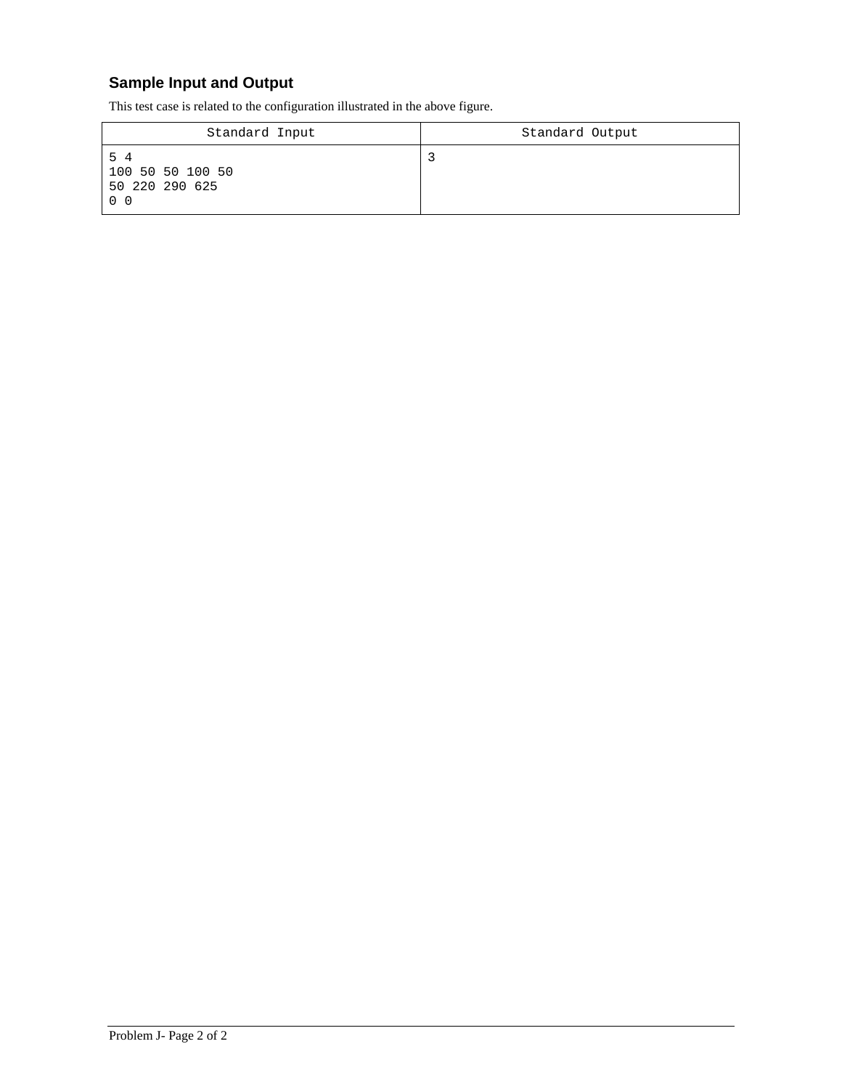# **Sample Input and Output**

This test case is related to the configuration illustrated in the above figure.

| Standard Input                                             | Standard Output |
|------------------------------------------------------------|-----------------|
| 54<br>100 50 50 100 50<br>50 220 290 625<br>0 <sub>0</sub> |                 |